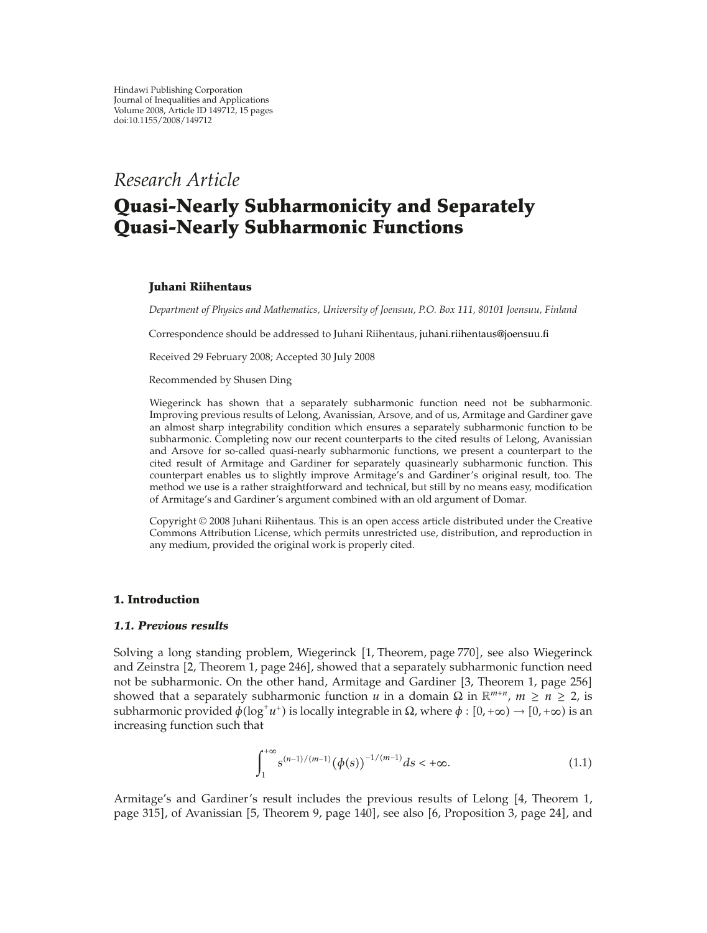# *Research Article*

# **Quasi-Nearly Subharmonicity and Separately Quasi-Nearly Subharmonic Functions**

# **Juhani Riihentaus**

*Department of Physics and Mathematics, University of Joensuu, P.O. Box 111, 80101 Joensuu, Finland*

Correspondence should be addressed to Juhani Riihentaus, juhani.riihentaus@joensuu.fi

Received 29 February 2008; Accepted 30 July 2008

Recommended by Shusen Ding

Wiegerinck has shown that a separately subharmonic function need not be subharmonic. Improving previous results of Lelong, Avanissian, Arsove, and of us, Armitage and Gardiner gave an almost sharp integrability condition which ensures a separately subharmonic function to be subharmonic. Completing now our recent counterparts to the cited results of Lelong, Avanissian and Arsove for so-called quasi-nearly subharmonic functions, we present a counterpart to the cited result of Armitage and Gardiner for separately quasinearly subharmonic function. This counterpart enables us to slightly improve Armitage's and Gardiner's original result, too. The method we use is a rather straightforward and technical, but still by no means easy, modification of Armitage's and Gardiner's argument combined with an old argument of Domar.

Copyright  $\odot$  2008 Juhani Riihentaus. This is an open access article distributed under the Creative Commons Attribution License, which permits unrestricted use, distribution, and reproduction in any medium, provided the original work is properly cited.

# **1. Introduction**

# *1.1. Previous results*

Solving a long standing problem, Wiegerinck [1, Theorem, page 770], see also Wiegerinck and Zeinstra [2, Theorem 1, page 246], showed that a separately subharmonic function need not be subharmonic. On the other hand, Armitage and Gardiner [3, Theorem 1, page 256] showed that a separately subharmonic function *u* in a domain  $\Omega$  in  $\mathbb{R}^{m+n}$ ,  $m \ge n \ge 2$ , is subharmonic provided  $\phi(\log^+ u^+)$  is locally integrable in  $\Omega$ , where  $\phi : [0, +\infty) \to [0, +\infty)$  is an increasing function such that

$$
\int_{1}^{+\infty} s^{(n-1)/(m-1)} (\phi(s))^{-1/(m-1)} ds < +\infty.
$$
 (1.1)

Armitage's and Gardiner's result includes the previous results of Lelong [4, Theorem 1, page 315], of Avanissian [5, Theorem 9, page 140], see also [6, Proposition 3, page 24], and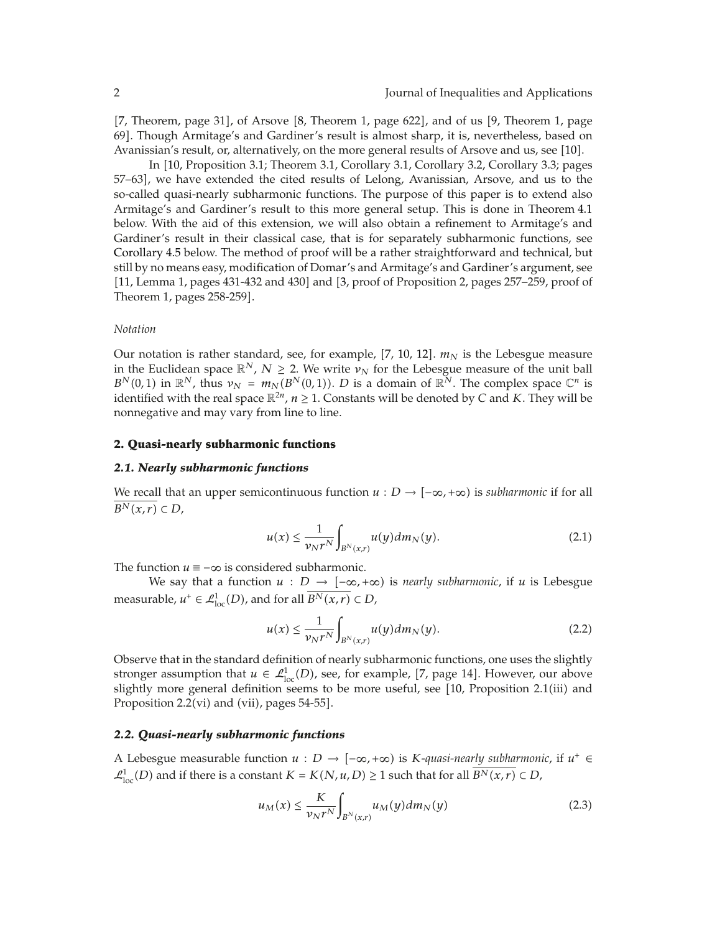[7, Theorem, page 31], of Arsove  $[8,$  Theorem 1, page 622], and of us  $[9,$  Theorem 1, page 69. Though Armitage's and Gardiner's result is almost sharp, it is, nevertheless, based on Avanissian's result, or, alternatively, on the more general results of Arsove and us, see [10].

In [10, Proposition 3.1; Theorem 3.1, Corollary 3.1, Corollary 3.2, Corollary 3.3; pages 57–63, we have extended the cited results of Lelong, Avanissian, Arsove, and us to the so-called quasi-nearly subharmonic functions. The purpose of this paper is to extend also Armitage's and Gardiner's result to this more general setup. This is done in Theorem 4.1 below. With the aid of this extension, we will also obtain a refinement to Armitage's and Gardiner's result in their classical case, that is for separately subharmonic functions, see Corollary 4.5 below. The method of proof will be a rather straightforward and technical, but still by no means easy, modification of Domar's and Armitage's and Gardiner's argument, see [11, Lemma 1, pages 431-432 and 430] and [3, proof of Proposition 2, pages 257–259, proof of Theorem 1, pages 258-259.

#### *Notation*

Our notation is rather standard, see, for example,  $[7, 10, 12]$ .  $m<sub>N</sub>$  is the Lebesgue measure in the Euclidean space  $\mathbb{R}^N$ ,  $N \geq 2$ . We write  $\nu_N$  for the Lebesgue measure of the unit ball  $B^N(0,1)$  in  $\mathbb{R}^N$ , thus  $\nu_N = m_N(B^N(0,1))$ . *D* is a domain of  $\mathbb{R}^N$ . The complex space  $\mathbb{C}^n$  is identified with the real space  $\mathbb{R}^{2n}$ ,  $n \geq 1$ . Constants will be denoted by *C* and *K*. They will be nonnegative and may vary from line to line.

#### **2. Quasi-nearly subharmonic functions**

#### *2.1. Nearly subharmonic functions*

We recall that an upper semicontinuous function  $u : D \to [-\infty, +\infty)$  is *subharmonic* if for all  $\overline{B^N(x,r)} \subset D$ ,

$$
u(x) \le \frac{1}{\nu_N r^N} \int_{B^N(x,r)} u(y) dm_N(y). \tag{2.1}
$$

The function  $u \equiv -\infty$  is considered subharmonic.

We say that a function  $u : D \longrightarrow [-\infty, +\infty)$  is *nearly subharmonic*, if  $u$  is Lebesgue measurable,  $u^+ \in \mathcal{L}^1_{loc}(D)$ , and for all  $\overline{B^N(x,r)} \subset D$ ,

$$
u(x) \le \frac{1}{\nu_N r^N} \int_{B^N(x,r)} u(y) dm_N(y). \tag{2.2}
$$

Observe that in the standard definition of nearly subharmonic functions, one uses the slightly stronger assumption that  $u \in \mathcal{L}^1_{loc}(D)$ , see, for example, [7, page 14]. However, our above slightly more general definition seems to be more useful, see [10, Proposition 2.1(iii) and Proposition 2.2(vi) and (vii), pages  $54-55$ .

#### *2.2. Quasi-nearly subharmonic functions*

A Lebesgue measurable function  $u : D \to [-\infty, +\infty)$  is *K*-quasi-nearly subharmonic, if  $u^+ \in$  $\mathcal{L}_{loc}^1(D)$  and if there is a constant  $K = K(N, u, D) \geq 1$  such that for all  $\overline{B^N(x, r)} \subset D$ ,

$$
u_M(x) \le \frac{K}{\nu_N r^N} \int_{B^N(x,r)} u_M(y) dm_N(y) \tag{2.3}
$$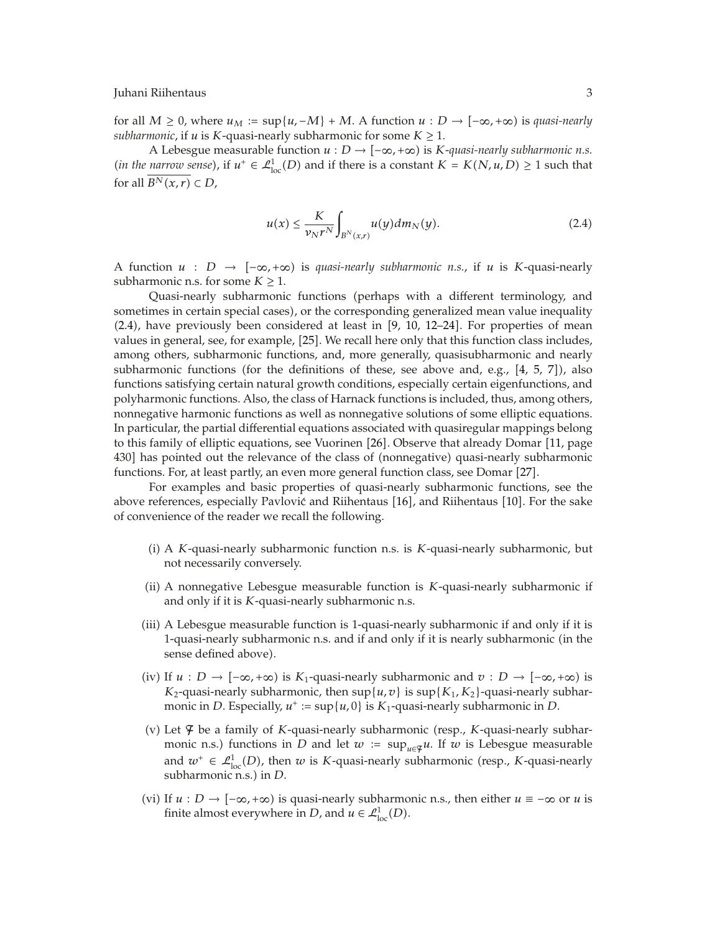for all  $M \geq 0$ , where  $u_M := \sup\{u, -M\} + M$ . A function  $u : D \to [-\infty, +\infty)$  is *quasi-nearly subharmonic*, if *u* is *K*-quasi-nearly subharmonic for some  $K \geq 1$ .

A Lebesgue measurable function  $u: D \to [-\infty, +\infty)$  is *K*-quasi-nearly subharmonic n.s. *(in the narrow sense),* if  $u^+ \in \mathcal{L}^1_{loc}(D)$  and if there is a constant  $K = K(N, u, D) \ge 1$  such that for all  $\overline{B^N(x,r)} \subset D$ ,

$$
u(x) \le \frac{K}{\nu_N r^N} \int_{B^N(x,r)} u(y) dm_N(y). \tag{2.4}
$$

A function  $u : D \rightarrow [-\infty, +\infty)$  is *quasi-nearly subharmonic n.s.*, if  $u$  is *K*-quasi-nearly subharmonic n.s. for some  $K \geq 1$ .

Quasi-nearly subharmonic functions (perhaps with a different terminology, and sometimes in certain special cases), or the corresponding generalized mean value inequality  $(2.4)$ , have previously been considered at least in  $[9, 10, 12-24]$ . For properties of mean values in general, see, for example, [25]. We recall here only that this function class includes, among others, subharmonic functions, and, more generally, quasisubharmonic and nearly subharmonic functions (for the definitions of these, see above and, e.g.,  $[4, 5, 7]$ ), also functions satisfying certain natural growth conditions, especially certain eigenfunctions, and polyharmonic functions. Also, the class of Harnack functions is included, thus, among others, nonnegative harmonic functions as well as nonnegative solutions of some elliptic equations. In particular, the partial differential equations associated with quasiregular mappings belong to this family of elliptic equations, see Vuorinen [26]. Observe that already Domar [11, page 430] has pointed out the relevance of the class of (nonnegative) quasi-nearly subharmonic functions. For, at least partly, an even more general function class, see Domar [27].

For examples and basic properties of quasi-nearly subharmonic functions, see the above references, especially Pavlović and Riihentaus [16], and Riihentaus [10]. For the sake of convenience of the reader we recall the following.

- i A *K*-quasi-nearly subharmonic function n.s. is *K*-quasi-nearly subharmonic, but not necessarily conversely.
- ii A nonnegative Lebesgue measurable function is *K*-quasi-nearly subharmonic if and only if it is *K*-quasi-nearly subharmonic n.s.
- iii A Lebesgue measurable function is 1-quasi-nearly subharmonic if and only if it is 1-quasi-nearly subharmonic n.s. and if and only if it is nearly subharmonic in the sense defined above).
- $(iv)$  If *u* : *D* →  $[-\infty, +\infty)$  is *K*<sub>1</sub>-quasi-nearly subharmonic and *v* : *D* →  $[-\infty, +\infty)$  is *K*<sub>2</sub>-quasi-nearly subharmonic, then  $\sup\{u, v\}$  is  $\sup\{K_1, K_2\}$ -quasi-nearly subharmonic in *D*. Especially,  $u^+ := \sup\{u, 0\}$  is  $K_1$ -quasi-nearly subharmonic in *D*.
- (v) Let  $\varphi$  be a family of *K*-quasi-nearly subharmonic (resp., *K*-quasi-nearly subharmonic n.s.) functions in *D* and let  $w := \sup_{u \in \mathcal{F}} u$ . If  $w$  is Lebesgue measurable and  $w^+ \in \mathcal{L}^1_{loc}(D)$ , then *w* is *K*-quasi-nearly subharmonic (resp., *K*-quasi-nearly subharmonic n.s.) in *D*.
- (vi) If *u* : *D* →  $[-\infty, +\infty)$  is quasi-nearly subharmonic n.s., then either *u* ≡ −∞ or *u* is finite almost everywhere in *D*, and  $u \in \mathcal{L}^1_{loc}(D)$ .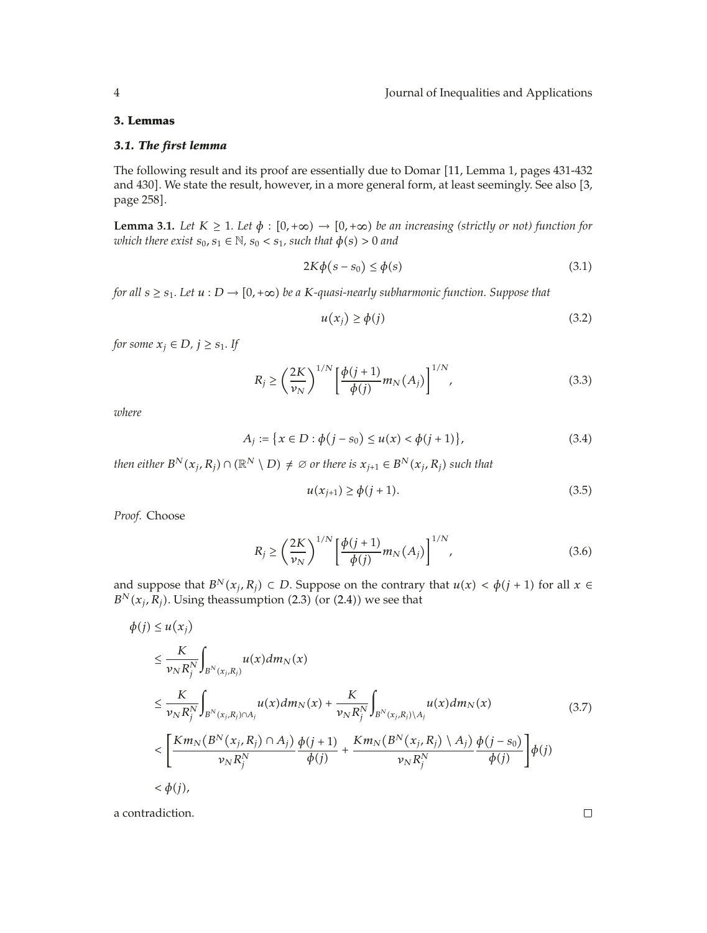# **3. Lemmas**

# *3.1. The first lemma*

The following result and its proof are essentially due to Domar [11, Lemma 1, pages 431-432 and 430]. We state the result, however, in a more general form, at least seemingly. See also [3, page 258].

**Lemma 3.1.** Let  $K \geq 1$ . Let  $\phi : [0, +\infty) \to [0, +\infty)$  be an increasing (strictly or not) function for *which there exist*  $s_0$ ,  $s_1 \in \mathbb{N}$ ,  $s_0 < s_1$ , such that  $\phi(s) > 0$  and

$$
2K\phi(s-s_0) \le \phi(s) \tag{3.1}
$$

*for all*  $s \geq s_1$ . Let  $u : D \to [0, +\infty)$  be a K-quasi-nearly subharmonic function. Suppose that

$$
u(x_j) \ge \phi(j) \tag{3.2}
$$

*for some*  $x_i \in D$ *,*  $j \geq s_1$ *. If* 

$$
R_j \ge \left(\frac{2K}{\nu_N}\right)^{1/N} \left[\frac{\phi(j+1)}{\phi(j)} m_N(A_j)\right]^{1/N},\tag{3.3}
$$

*where*

$$
A_j := \{ x \in D : \phi(j - s_0) \le u(x) < \phi(j + 1) \},\tag{3.4}
$$

*then either*  $B^N(x_i, R_i) \cap (\mathbb{R}^N \setminus D) \neq \emptyset$  or there is  $x_{i+1} \in B^N(x_i, R_i)$  such that

$$
u(x_{j+1}) \ge \phi(j+1). \tag{3.5}
$$

*Proof.* Choose

*<sup>φ</sup>j* <sup>≤</sup> *<sup>u</sup>*

$$
R_j \geq \left(\frac{2K}{\nu_N}\right)^{1/N} \left[\frac{\phi(j+1)}{\phi(j)} m_N(A_j)\right]^{1/N},\tag{3.6}
$$

and suppose that  $B^N(x_j, R_j) \subset D$ . Suppose on the contrary that  $u(x) < \phi(j + 1)$  for all  $x \in$  $B^N(x_i, R_i)$ . Using theassumption (2.3) (or (2.4)) we see that

$$
\phi(j) \le u(x_j)
$$
\n
$$
\le \frac{K}{\nu_N R_j^N} \int_{B^N(x_j, R_j)} u(x) dm_N(x)
$$
\n
$$
\le \frac{K}{\nu_N R_j^N} \int_{B^N(x_j, R_j) \cap A_j} u(x) dm_N(x) + \frac{K}{\nu_N R_j^N} \int_{B^N(x_j, R_j) \backslash A_j} u(x) dm_N(x)
$$
\n
$$
< \left[ \frac{Km_N (B^N(x_j, R_j) \cap A_j)}{\nu_N R_j^N} \frac{\phi(j+1)}{\phi(j)} + \frac{Km_N (B^N(x_j, R_j) \backslash A_j)}{\nu_N R_j^N} \frac{\phi(j-s_0)}{\phi(j)} \right] \phi(j)
$$
\n
$$
< \phi(j), \tag{3.7}
$$

a contradiction.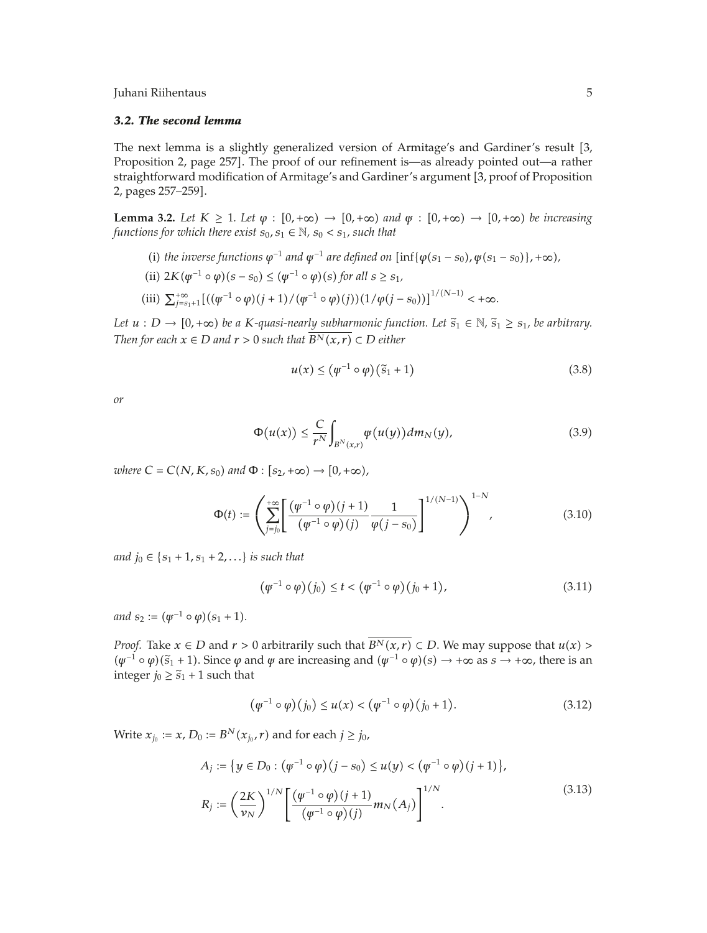# *3.2. The second lemma*

The next lemma is a slightly generalized version of Armitage's and Gardiner's result [3, Proposition 2, page 257. The proof of our refinement is—as already pointed out—a rather straightforward modification of Armitage's and Gardiner's argument [3, proof of Proposition 2, pages 257–259.

**Lemma 3.2.** Let  $K \geq 1$ . Let  $\varphi : [0, +\infty) \to [0, +\infty)$  and  $\varphi : [0, +\infty) \to [0, +\infty)$  be increasing *functions for which there exist*  $s_0, s_1 \in \mathbb{N}$ ,  $s_0 < s_1$ , such that

(i) the inverse functions  $\varphi^{-1}$  *and*  $\varphi^{-1}$  *are defined on*  $\left[ \inf \{ \varphi(s_1 - s_0), \varphi(s_1 - s_0) \}, +\infty \right)$ ,

(ii) 
$$
2K(\psi^{-1} \circ \varphi)(s - s_0) \leq (\psi^{-1} \circ \varphi)(s)
$$
 for all  $s \geq s_1$ ,

(iii) 
$$
\sum_{j=s_1+1}^{+\infty} [((\varphi^{-1} \circ \varphi)(j+1)/(\varphi^{-1} \circ \varphi)(j)) (1/\varphi(j-s_0))]^{1/(N-1)} < +\infty.
$$

*Let*  $u : D \to [0, +\infty)$  *be a K-quasi-nearly subharmonic function. Let*  $\tilde{s}_1 \in \mathbb{N}, \tilde{s}_1 \geq s_1$ *, be arbitrary. Then for each*  $x \in D$  *and*  $r > 0$  *such that*  $\overline{B^N(x,r)} \subset D$  *either* 

$$
u(x) \le (\varphi^{-1} \circ \varphi)(\tilde{s}_1 + 1) \tag{3.8}
$$

*or*

$$
\Phi(u(x)) \leq \frac{C}{r^N} \int_{B^N(x,r)} \varphi(u(y)) dm_N(y), \tag{3.9}
$$

 $where C = C(N, K, s_0)$  and  $\Phi : [s_2, +\infty) \rightarrow [0, +\infty)$ ,

$$
\Phi(t) := \left(\sum_{j=j_0}^{+\infty} \left[ \frac{(\varphi^{-1} \circ \varphi)(j+1)}{(\varphi^{-1} \circ \varphi)(j)} \frac{1}{\varphi(j-s_0)} \right]^{1/(N-1)} \right)^{1-N}, \tag{3.10}
$$

*and*  $j_0 \in \{s_1 + 1, s_1 + 2, ...\}$  *is such that* 

$$
(\varphi^{-1} \circ \varphi)(j_0) \le t < (\varphi^{-1} \circ \varphi)(j_0 + 1), \tag{3.11}
$$

*and*  $s_2 := (\psi^{-1} \circ \varphi)(s_1 + 1)$ *.* 

*Proof.* Take  $x \in D$  and  $r > 0$  arbitrarily such that  $\overline{B^N(x,r)} \subset D$ . We may suppose that  $u(x) >$  $(\psi^{-1} \circ \psi)(\tilde{s}_1 + 1)$ . Since  $\psi$  and  $\psi$  are increasing and  $(\psi^{-1} \circ \psi)(s) \to +\infty$  as  $s \to +\infty$ , there is an integer  $j_0 \geq \tilde{s}_1 + 1$  such that

$$
(\varphi^{-1} \circ \varphi)(j_0) \le u(x) < (\varphi^{-1} \circ \varphi)(j_0 + 1). \tag{3.12}
$$

Write  $x_{j_0} := x$ ,  $D_0 := B^N(x_{j_0}, r)$  and for each  $j \ge j_0$ ,

$$
A_{j} := \{ y \in D_{0} : (\varphi^{-1} \circ \varphi)(j - s_{0}) \le u(y) < (\varphi^{-1} \circ \varphi)(j + 1) \},\
$$
  

$$
R_{j} := \left(\frac{2K}{\nu_{N}}\right)^{1/N} \left[ \frac{(\varphi^{-1} \circ \varphi)(j + 1)}{(\varphi^{-1} \circ \varphi)(j)} m_{N}(A_{j}) \right]^{1/N}.
$$
 (3.13)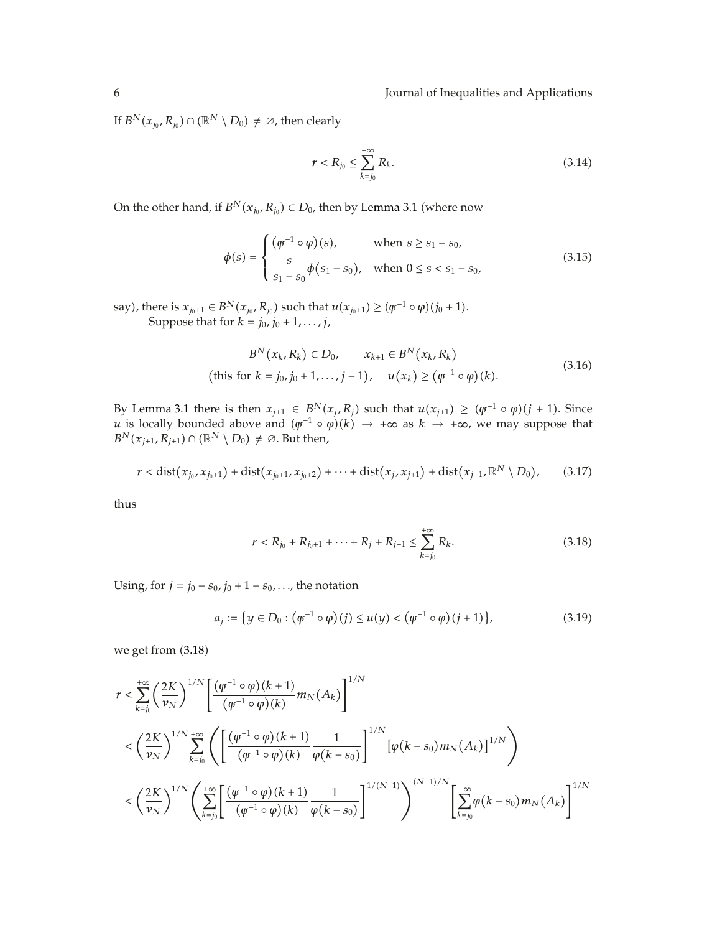If  $B^N(x_{j_0}, R_{j_0}) \cap (\mathbb{R}^N \setminus D_0) \neq \emptyset$ , then clearly

$$
r < R_{j_0} \le \sum_{k=j_0}^{+\infty} R_k. \tag{3.14}
$$

On the other hand, if  $B^N(x_{j_0}, R_{j_0}) \subset D_0$ , then by Lemma 3.1 (where now

$$
\phi(s) = \begin{cases}\n(\psi^{-1} \circ \varphi)(s), & \text{when } s \ge s_1 - s_0, \\
\frac{s}{s_1 - s_0} \phi(s_1 - s_0), & \text{when } 0 \le s < s_1 - s_0,\n\end{cases}
$$
\n(3.15)

say), there is  $x_{j_0+1} \in B^N(x_{j_0}, R_{j_0})$  such that  $u(x_{j_0+1}) \geq (\psi^{-1} \circ \varphi)(j_0+1)$ . Suppose that for  $k = j_0, j_0 + 1, ..., j$ ,

$$
B^{N}(x_{k}, R_{k}) \subset D_{0}, \qquad x_{k+1} \in B^{N}(x_{k}, R_{k})
$$
  
(this for  $k = j_{0}, j_{0} + 1, ..., j - 1$ ),  $u(x_{k}) \geq (\varphi^{-1} \circ \varphi)(k).$  (3.16)

By Lemma 3.1 there is then  $x_{j+1} \in B^N(x_j, R_j)$  such that  $u(x_{j+1}) \geq (\psi^{-1} \circ \varphi)(j+1)$ . Since *u* is locally bounded above and  $(\psi^{-1} \circ \psi)(k) \to +\infty$  as  $k \to +\infty$ , we may suppose that  $B^N(x_{j+1}, R_{j+1}) \cap (\mathbb{R}^N \setminus D_0) \neq \emptyset$ . But then,

$$
r < dist(x_{j_0}, x_{j_0+1}) + dist(x_{j_0+1}, x_{j_0+2}) + \cdots + dist(x_j, x_{j+1}) + dist(x_{j+1}, \mathbb{R}^N \setminus D_0), \qquad (3.17)
$$

thus

$$
r < R_{j_0} + R_{j_0+1} + \dots + R_j + R_{j+1} \le \sum_{k=j_0}^{+\infty} R_k. \tag{3.18}
$$

Using, for  $j = j_0 - s_0$ ,  $j_0 + 1 - s_0$ , ..., the notation

$$
a_j := \{ y \in D_0 : (\varphi^{-1} \circ \varphi)(j) \le u(y) < (\varphi^{-1} \circ \varphi)(j+1) \},\tag{3.19}
$$

we get from  $(3.18)$ 

$$
r < \sum_{k=j_0}^{+\infty} \left(\frac{2K}{\nu_N}\right)^{1/N} \left[ \frac{(\psi^{-1} \circ \varphi)(k+1)}{(\psi^{-1} \circ \varphi)(k)} m_N(A_k) \right]^{1/N}
$$
  

$$
< \left(\frac{2K}{\nu_N}\right)^{1/N} \sum_{k=j_0}^{+\infty} \left( \left[ \frac{(\psi^{-1} \circ \varphi)(k+1)}{(\psi^{-1} \circ \varphi)(k)} \frac{1}{\varphi(k-s_0)} \right]^{1/N} \left[ \varphi(k-s_0) m_N(A_k) \right]^{1/N} \right)
$$
  

$$
< \left(\frac{2K}{\nu_N}\right)^{1/N} \left( \sum_{k=j_0}^{+\infty} \left[ \frac{(\psi^{-1} \circ \varphi)(k+1)}{(\psi^{-1} \circ \varphi)(k)} \frac{1}{\varphi(k-s_0)} \right]^{1/(N-1)} \right)^{(N-1)/N} \left[ \sum_{k=j_0}^{+\infty} \varphi(k-s_0) m_N(A_k) \right]^{1/N}
$$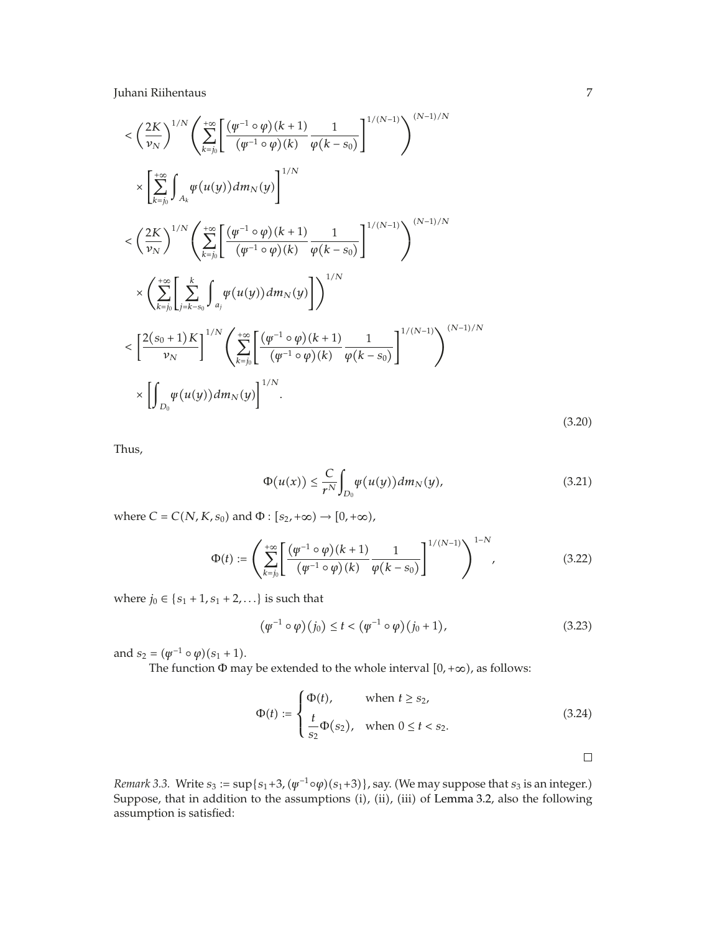$$
\langle \left(\frac{2K}{\nu_N}\right)^{1/N} \left(\sum_{k=j_0}^{+\infty} \left[\frac{(\psi^{-1} \circ \varphi)(k+1)}{(\psi^{-1} \circ \varphi)(k)} \frac{1}{\varphi(k-s_0)}\right]^{1/(N-1)}\right)^{(N-1)/N}
$$
\n
$$
\times \left[\sum_{k=j_0}^{+\infty} \int_{A_k} \psi(u(y)) dm_N(y)\right]^{1/N}
$$
\n
$$
\langle \left(\frac{2K}{\nu_N}\right)^{1/N} \left(\sum_{k=j_0}^{+\infty} \left[\frac{(\psi^{-1} \circ \varphi)(k+1)}{(\psi^{-1} \circ \varphi)(k)} \frac{1}{\varphi(k-s_0)}\right]^{1/(N-1)}\right)^{(N-1)/N}
$$
\n
$$
\times \left(\sum_{k=j_0}^{+\infty} \left[\sum_{j=k-s_0}^{k} \int_{a_j} \psi(u(y)) dm_N(y)\right] \right)^{1/N}
$$
\n
$$
\langle \left[\frac{2(s_0+1)K}{\nu_N}\right]^{1/N} \left(\sum_{k=j_0}^{+\infty} \left[\frac{(\psi^{-1} \circ \varphi)(k+1)}{(\psi^{-1} \circ \varphi)(k)} \frac{1}{\varphi(k-s_0)}\right]^{1/(N-1)}\right)^{(N-1)/N}
$$
\n
$$
\times \left[\int_{D_0} \psi(u(y)) dm_N(y)\right]^{1/N}.
$$
\n(3.20)

Thus,

$$
\Phi(u(x)) \leq \frac{C}{r^N} \int_{D_0} \psi(u(y)) dm_N(y), \qquad (3.21)
$$

where  $C = C(N, K, s_0)$  and  $\Phi : [s_2, +\infty) \to [0, +\infty)$ ,

$$
\Phi(t) := \left(\sum_{k=j_0}^{+\infty} \left[ \frac{(\psi^{-1} \circ \varphi)(k+1)}{(\psi^{-1} \circ \varphi)(k)} \frac{1}{\varphi(k-s_0)} \right]^{1/(N-1)} \right)^{1-N}, \tag{3.22}
$$

where  $j_0 \in \{s_1 + 1, s_1 + 2, ...\}$  is such that

$$
(\varphi^{-1} \circ \varphi)(j_0) \le t < (\varphi^{-1} \circ \varphi)(j_0 + 1), \tag{3.23}
$$

and  $s_2 = (\psi^{-1} \circ \varphi)(s_1 + 1)$ .

The function  $\Phi$  may be extended to the whole interval  $[0, +\infty)$ , as follows:

$$
\Phi(t) := \begin{cases} \Phi(t), & \text{when } t \ge s_2, \\ \frac{t}{s_2} \Phi(s_2), & \text{when } 0 \le t < s_2. \end{cases} \tag{3.24}
$$

*Remark* 3.3. Write  $s_3 := \sup\{s_1 + 3, (\psi^{-1} \circ \varphi)(s_1 + 3)\}\$ , say. (We may suppose that  $s_3$  is an integer.) Suppose, that in addition to the assumptions (i), (ii), (iii) of Lemma 3.2, also the following assumption is satisfied: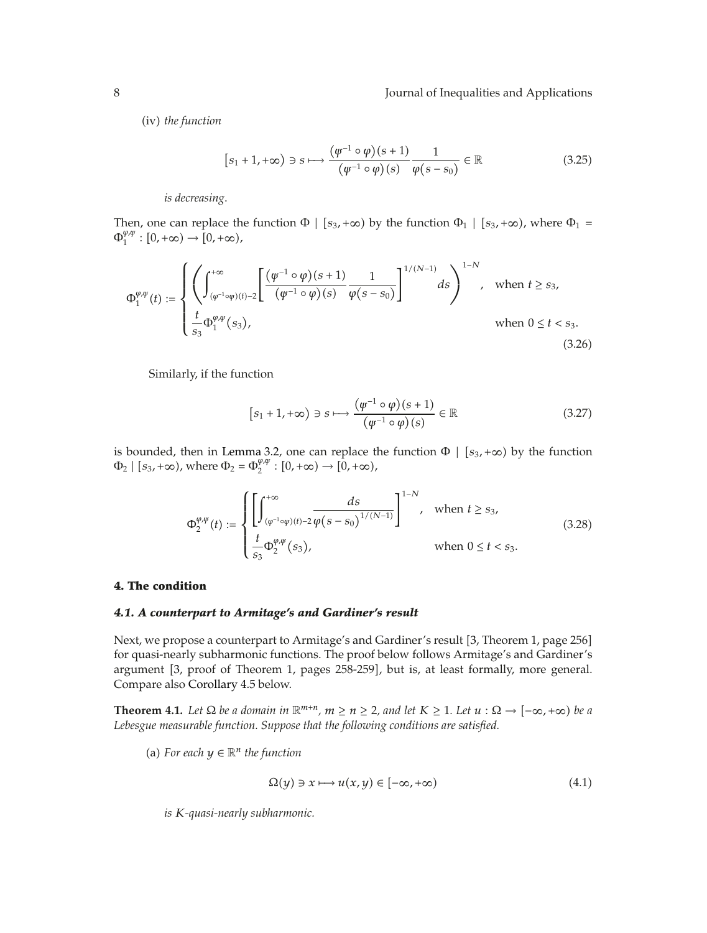(iv) *the function* 

$$
[s_1 + 1, +\infty) \ni s \longmapsto \frac{(\varphi^{-1} \circ \varphi)(s+1)}{(\varphi^{-1} \circ \varphi)(s)} \frac{1}{\varphi(s-s_0)} \in \mathbb{R}
$$
 (3.25)

*is decreasing*.

Then, one can replace the function  $\Phi$  |  $[s_3, +\infty)$  by the function  $\Phi$ <sub>1</sub> |  $[s_3, +\infty)$ , where  $\Phi$ <sub>1</sub> =  $\Phi_1^{\varphi,\psi} : [0,+\infty) \to [0,+\infty),$ 

$$
\Phi_1^{\varphi,\psi}(t) := \begin{cases} \left( \int_{(\varphi^{-1}\circ\psi)(t)-2}^{+\infty} \left[ \frac{(\varphi^{-1}\circ\varphi)(s+1)}{(\varphi^{-1}\circ\varphi)(s)} \frac{1}{\varphi(s-s_0)} \right]^{1/(N-1)} ds \right)^{1-N}, & \text{when } t \ge s_3, \\ \frac{t}{s_3} \Phi_1^{\varphi,\psi}(s_3), & \text{when } 0 \le t < s_3. \end{cases}
$$
\n(3.26)

Similarly, if the function

$$
[s_1 + 1, +\infty) \ni s \longmapsto \frac{(\varphi^{-1} \circ \varphi)(s+1)}{(\varphi^{-1} \circ \varphi)(s)} \in \mathbb{R}
$$
 (3.27)

is bounded, then in Lemma 3.2, one can replace the function  $\Phi \mid [s_3, +\infty)$  by the function  $\Phi_2 | [s_3, +\infty)$ , where  $\Phi_2 = \Phi_2^{\varphi, \psi} : [0, +\infty) \to [0, +\infty)$ ,

$$
\Phi_2^{\varphi,\psi}(t) := \begin{cases} \left[ \int_{(\varphi^{-1}\circ\psi)(t)-2}^{+\infty} \frac{ds}{\varphi(s-s_0)^{1/(N-1)}} \right]^{1-N}, & \text{when } t \ge s_3, \\ \frac{t}{s_3} \Phi_2^{\varphi,\psi}(s_3), & \text{when } 0 \le t < s_3. \end{cases}
$$
(3.28)

# **4. The condition**

# *4.1. A counterpart to Armitage's and Gardiner's result*

Next, we propose a counterpart to Armitage's and Gardiner's result [3, Theorem 1, page 256] for quasi-nearly subharmonic functions. The proof below follows Armitage's and Gardiner's argument [3, proof of Theorem 1, pages 258-259], but is, at least formally, more general. Compare also Corollary 4.5 below.

**Theorem 4.1.** Let  $\Omega$  be a domain in  $\mathbb{R}^{m+n}$ ,  $m \ge n \ge 2$ , and let  $K \ge 1$ . Let  $u : \Omega \to [-\infty, +\infty)$  be a *Lebesgue measurable function. Suppose that the following conditions are satisfied.*

(a) For each  $y \in \mathbb{R}^n$  the function

$$
\Omega(y) \ni x \longmapsto u(x, y) \in [-\infty, +\infty)
$$
\n(4.1)

*is K-quasi-nearly subharmonic.*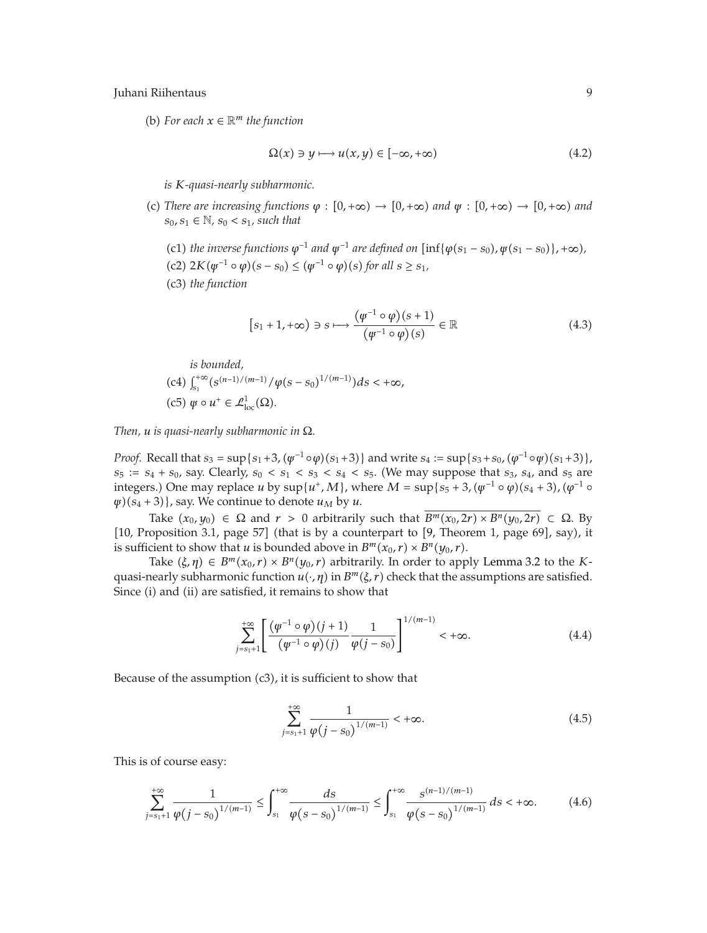(b) For each  $x \in \mathbb{R}^m$  the function

$$
\Omega(x) \ni y \longmapsto u(x, y) \in [-\infty, +\infty)
$$
\n(4.2)

*is K-quasi-nearly subharmonic.*

- (c) There are increasing functions  $\varphi : [0, +\infty) \to [0, +\infty)$  and  $\psi : [0, +\infty) \to [0, +\infty)$  and  $s_0, s_1 ∈ ℕ, s_0 < s_1$ *, such that* 
	- (c1) *the inverse functions*  $\varphi^{-1}$  *and*  $\psi^{-1}$  *are defined on*  $\left[ \inf \{ \varphi(s_1 s_0), \psi(s_1 s_0) \}, +\infty \right)$ ,  $(c2)$  2*K* $(\psi^{-1} \circ \psi)(s - s_0) \leq (\psi^{-1} \circ \psi)(s)$  for all  $s \geq s_1$ ,
	- c3 *the function*

$$
[s_1 + 1, +\infty) \ni s \longmapsto \frac{(\varphi^{-1} \circ \varphi)(s+1)}{(\varphi^{-1} \circ \varphi)(s)} \in \mathbb{R}
$$
 (4.3)

*is bounded,*

\n- (c4) 
$$
\int_{s_1}^{+\infty} (s^{(n-1)/(m-1)}/\varphi(s-s_0)^{1/(m-1)}) ds < +\infty
$$
,
\n- (c5)  $\psi \circ u^+ \in \mathcal{L}^1_{\text{loc}}(\Omega)$ .
\n

*Then, u is quasi-nearly subharmonic in* Ω*.*

*Proof.* Recall that  $s_3 = \sup\{s_1+3$ ,  $(\psi^{-1} \circ \phi)(s_1+3)\}$  and write  $s_4 := \sup\{s_3+s_0$ ,  $(\phi^{-1} \circ \psi)(s_1+3)\}$ ,  $s_5 := s_4 + s_0$ , say. Clearly,  $s_0 < s_1 < s_3 < s_4 < s_5$ . (We may suppose that  $s_3$ ,  $s_4$ , and  $s_5$  are integers.) One may replace *u* by sup{*u<sup>+</sup>*, *M*}, where  $M = \sup\{s_5 + 3$ ,  $(\psi^{-1} \circ \varphi)(s_4 + 3)$ ,  $(\varphi^{-1} \circ \varphi)(s_5 + 3)$  $\psi$ <sup> $(g_4 + 3)$ , say. We continue to denote  $u_M$  by  $u$ .</sup>

Take  $(x_0, y_0) \in \Omega$  and  $r > 0$  arbitrarily such that  $\overline{B^m(x_0, 2r) \times B^n(y_0, 2r)} \subset \Omega$ . By  $[10,$  Proposition 3.1, page 57] (that is by a counterpart to  $[9,$  Theorem 1, page 69], say), it is sufficient to show that *u* is bounded above in  $B^m(x_0, r) \times B^n(y_0, r)$ .

Take  $(\xi, \eta) \in B^m(x_0, r) \times B^n(y_0, r)$  arbitrarily. In order to apply Lemma 3.2 to the *K*quasi-nearly subharmonic function  $u(\cdot, \eta)$  in  $B^m(\xi, r)$  check that the assumptions are satisfied. Since (i) and (ii) are satisfied, it remains to show that

$$
\sum_{j=s_1+1}^{+\infty} \left[ \frac{(\varphi^{-1} \circ \varphi)(j+1)}{(\varphi^{-1} \circ \varphi)(j)} \frac{1}{\varphi(j-s_0)} \right]^{1/(m-1)} < +\infty.
$$
 (4.4)

Because of the assumption  $(c3)$ , it is sufficient to show that

$$
\sum_{j=s_1+1}^{+\infty} \frac{1}{\varphi(j-s_0)^{1/(m-1)}} < +\infty. \tag{4.5}
$$

This is of course easy:

$$
\sum_{j=s_1+1}^{+\infty} \frac{1}{\varphi(j-s_0)^{1/(m-1)}} \le \int_{s_1}^{+\infty} \frac{ds}{\varphi(s-s_0)^{1/(m-1)}} \le \int_{s_1}^{+\infty} \frac{s^{(n-1)/(m-1)}}{\varphi(s-s_0)^{1/(m-1)}} ds < +\infty.
$$
 (4.6)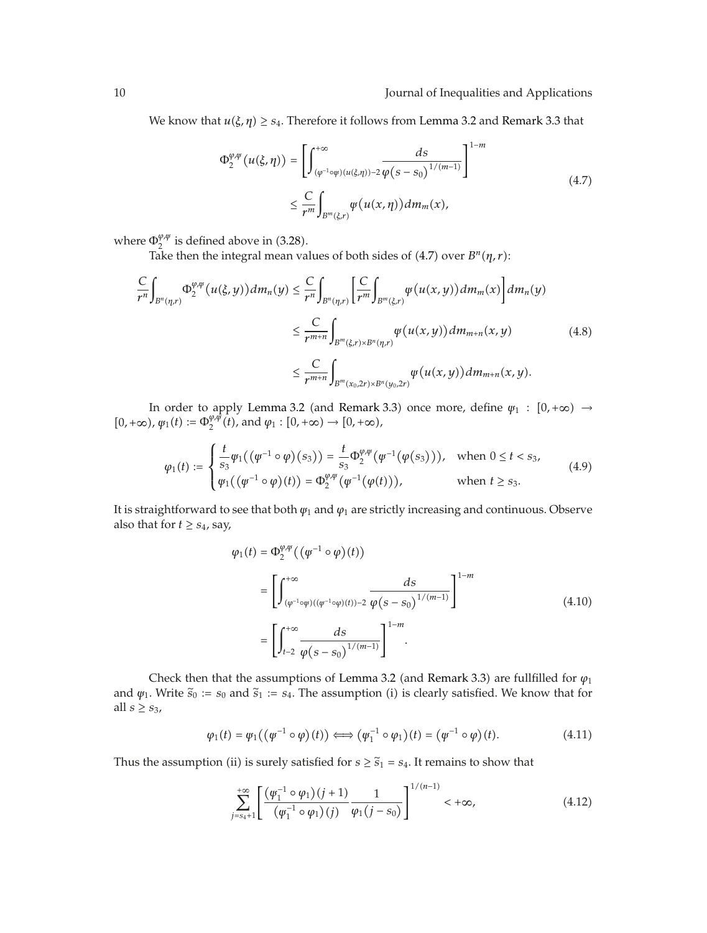We know that  $u(\xi, \eta) \geq s_4$ . Therefore it follows from Lemma 3.2 and Remark 3.3 that

$$
\Phi_2^{\varphi,\psi}(u(\xi,\eta)) = \left[\int_{(\varphi^{-1}\circ\psi)(u(\xi,\eta))^{-2}}^{+\infty} \frac{ds}{\varphi(s-s_0)^{1/(m-1)}}\right]^{1-m}
$$
  

$$
\leq \frac{C}{r^m} \int_{B^m(\xi,r)} \varphi(u(x,\eta)) dm_m(x), \qquad (4.7)
$$

where  $\Phi_2^{\varphi,\psi}$  is defined above in (3.28).

Take then the integral mean values of both sides of (4.7) over  $B<sup>n</sup>(\eta, r)$ :

$$
\frac{C}{r^n} \int_{B^n(\eta,r)} \Phi_2^{\varphi,\psi}(u(\xi,y)) dm_n(y) \leq \frac{C}{r^n} \int_{B^n(\eta,r)} \left[ \frac{C}{r^m} \int_{B^m(\xi,r)} \psi(u(x,y)) dm_m(x) \right] dm_n(y)
$$
\n
$$
\leq \frac{C}{r^{m+n}} \int_{B^m(\xi,r) \times B^n(\eta,r)} \psi(u(x,y)) dm_{m+n}(x,y) \tag{4.8}
$$
\n
$$
\leq \frac{C}{r^{m+n}} \int_{B^m(x_0,2r) \times B^n(y_0,2r)} \psi(u(x,y)) dm_{m+n}(x,y).
$$

In order to apply Lemma 3.2 (and Remark 3.3) once more, define  $\psi_1 : [0, +\infty) \rightarrow$  $[0, +\infty)$ ,  $\varphi_1(t) := \Phi_2^{\varphi, \varphi}(t)$ , and  $\varphi_1 : [0, +\infty) \to [0, +\infty)$ ,

$$
\varphi_1(t) := \begin{cases} \frac{t}{s_3} \varphi_1((\varphi^{-1} \circ \varphi)(s_3)) = \frac{t}{s_3} \Phi_2^{\varphi, \psi}(\varphi^{-1}(\varphi(s_3))), & \text{when } 0 \le t < s_3, \\ \varphi_1((\varphi^{-1} \circ \varphi)(t)) = \Phi_2^{\varphi, \psi}(\varphi^{-1}(\varphi(t))), & \text{when } t \ge s_3. \end{cases}
$$
(4.9)

It is straightforward to see that both *ψ*<sup>1</sup> and *ϕ*<sup>1</sup> are strictly increasing and continuous. Observe also that for  $t \geq s_4$ , say,

$$
\varphi_1(t) = \Phi_2^{\varphi, \psi}((\varphi^{-1} \circ \varphi)(t))
$$
\n
$$
= \left[ \int_{(\varphi^{-1} \circ \varphi)((\varphi^{-1} \circ \varphi)(t)) - 2}^{+\infty} \frac{ds}{\varphi(s - s_0)^{1/(m-1)}} \right]^{1-m}
$$
\n
$$
= \left[ \int_{t-2}^{+\infty} \frac{ds}{\varphi(s - s_0)^{1/(m-1)}} \right]^{1-m}.
$$
\n(4.10)

Check then that the assumptions of Lemma 3.2 (and Remark 3.3) are fullfilled for  $\varphi_1$ and  $\psi_1$ . Write  $\tilde{s}_0 := s_0$  and  $\tilde{s}_1 := s_4$ . The assumption (i) is clearly satisfied. We know that for all  $s \geq s_3$ ,

$$
\varphi_1(t) = \varphi_1((\varphi^{-1} \circ \varphi)(t)) \Longleftrightarrow (\varphi_1^{-1} \circ \varphi_1)(t) = (\varphi^{-1} \circ \varphi)(t). \tag{4.11}
$$

Thus the assumption (ii) is surely satisfied for  $s \geq \tilde{s}_1 = s_4$ . It remains to show that

$$
\sum_{j=s_4+1}^{+\infty} \left[ \frac{(\varphi_1^{-1} \circ \varphi_1)(j+1)}{(\varphi_1^{-1} \circ \varphi_1)(j)} \frac{1}{\varphi_1(j-s_0)} \right]^{1/(n-1)} < +\infty,
$$
\n(4.12)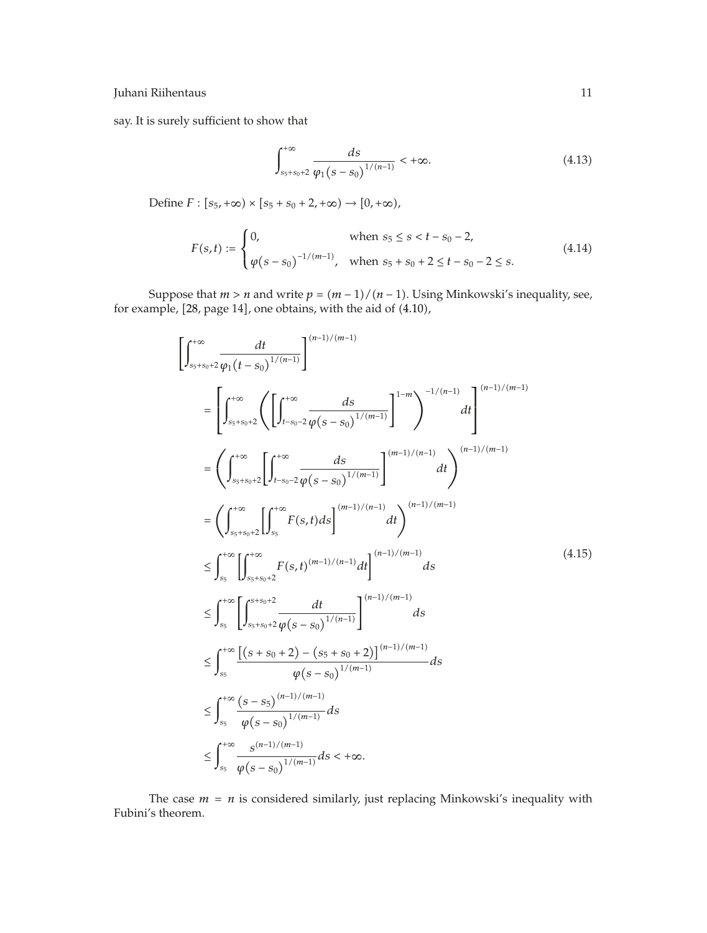say. It is surely sufficient to show that

$$
\int_{s_5+s_0+2}^{+\infty} \frac{ds}{\varphi_1(s-s_0)^{1/(n-1)}} < +\infty.
$$
 (4.13)

Define  $F : [s_5, +\infty) \times [s_5 + s_0 + 2, +\infty) \to [0, +\infty)$ ,

$$
F(s,t) := \begin{cases} 0, & \text{when } s_5 \le s < t - s_0 - 2, \\ \varphi(s - s_0)^{-1/(m-1)}, & \text{when } s_5 + s_0 + 2 \le t - s_0 - 2 \le s. \end{cases} \tag{4.14}
$$

Suppose that  $m > n$  and write  $p = (m - 1)/(n - 1)$ . Using Minkowski's inequality, see, for example,  $[28$ , page  $14]$ , one obtains, with the aid of  $(4.10)$ ,

$$
\left[\int_{s_{5}+s_{0}+2}^{+\infty} \frac{dt}{\varphi_{1}(t-s_{0})^{1/(n-1)}}\right]^{(n-1)/(m-1)}\n=\left[\int_{s_{5}+s_{0}+2}^{+\infty} \left(\left[\int_{t-s_{0}-2}^{+\infty} \frac{ds}{\varphi(s-s_{0})^{1/(m-1)}}\right]^{1-m}\right)^{-1/(n-1)} dt\right]^{(n-1)/(m-1)}\n=\left(\int_{s_{5}+s_{0}+2}^{+\infty} \left[\int_{t-s_{0}-2}^{+\infty} \frac{ds}{\varphi(s-s_{0})^{1/(m-1)}}\right]^{(m-1)/(n-1)} dt\right)^{(n-1)/(m-1)}\n=\left(\int_{s_{5}+s_{0}+2}^{+\infty} \left[\int_{s_{5}}^{+\infty} F(s,t)ds\right]^{(m-1)/(n-1)} dt\right)^{(n-1)/(m-1)}\n\leq \int_{s_{5}}^{+\infty} \left[\int_{s_{5}+s_{0}+2}^{+\infty} F(s,t)^{(m-1)/(n-1)} dt\right]^{(n-1)/(m-1)} ds\n\leq \int_{s_{5}}^{+\infty} \left[\int_{s_{5}+s_{0}+2}^{s+s_{0}+2} \frac{dt}{\varphi(s-s_{0})^{1/(n-1)}}\right]^{(n-1)/(m-1)} ds\n\leq \int_{s_{5}}^{+\infty} \frac{\left(s+s_{0}+2\right) - \left(s_{5}+s_{0}+2\right) \right]^{(n-1)/(m-1)}}{\varphi(s-s_{0})^{1/(m-1)}} ds\n\leq \int_{s_{5}}^{+\infty} \frac{\left(s-s_{5}\right)^{(n-1)/(m-1)}}{\varphi(s-s_{0})^{1/(m-1)}} ds\n\leq \int_{s_{5}}^{+\infty} \frac{s^{(n-1)/(m-1)}}{\varphi(s-s_{0})^{1/(m-1)}} ds < +\infty.
$$
\n(4.15)

The case  $m = n$  is considered similarly, just replacing Minkowski's inequality with Fubini's theorem.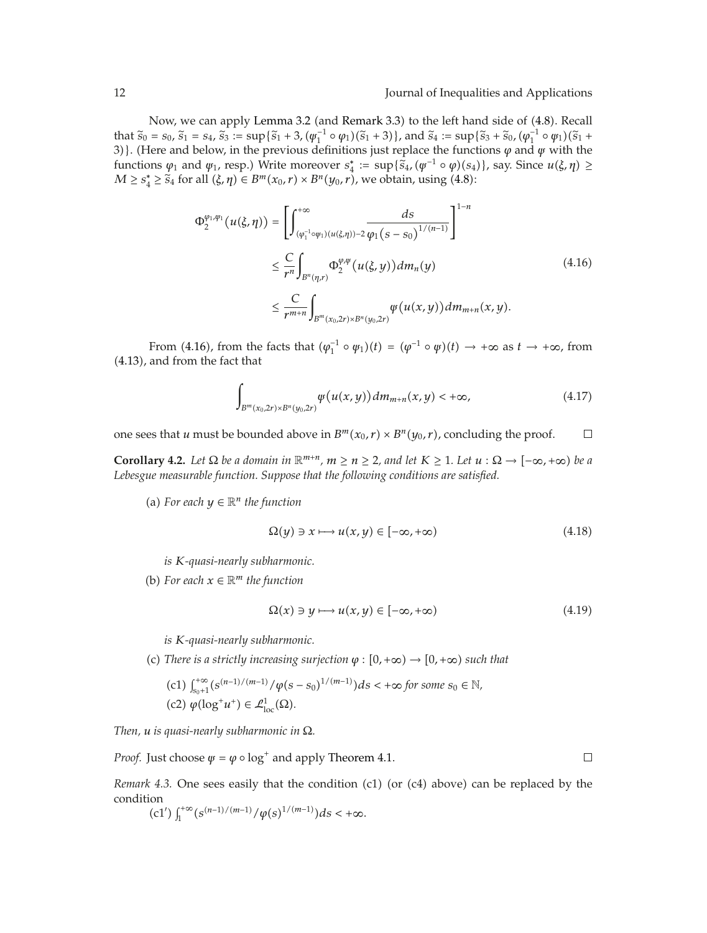Now, we can apply Lemma 3.2 (and Remark 3.3) to the left hand side of (4.8). Recall that  $\tilde{s}_0 = s_0$ ,  $\tilde{s}_1 = s_4$ ,  $\tilde{s}_3 := \sup{\{\tilde{s}_1 + 3, (\psi_1^{-1} \circ \psi_1)(\tilde{s}_1 + 3)\}}$ , and  $\tilde{s}_4 := \sup{\{\tilde{s}_3 + \tilde{s}_0, (\psi_1^{-1} \circ \psi_1)(\tilde{s}_1 + 3)\}}$ .<br>(Here and below in the provious definitions just replace the functions  $\mu$  and  $\$ <sup>3</sup>}. Here and below, in the previous definitions just replace the functions *<sup>ϕ</sup>* and *<sup>ψ</sup>* with the functions  $\varphi_1$  and  $\varphi_1$ , resp.) Write moreover  $s^*_{4} := \sup{\{\tilde{s}_4, (\varphi^{-1} \circ \varphi)(s_4)\}}$ , say. Since  $u(\xi, \eta) \ge M > s^* > \tilde{c}$ , for all  $(k, n) \in R^m(x_2, r) \times R^n(u_4, r)$ , we obtain using  $(4, 8)$ . *M* ≥ *s*<sub>4</sub><sup> $\times$ </sup> ≥  $\ddot{S}_4$  for all  $(\xi, \eta) \in B^m(x_0, r) \times B^n(y_0, r)$ , we obtain, using (4.8):

$$
\Phi_2^{\varphi_1, \varphi_1}(u(\xi, \eta)) = \left[ \int_{(\varphi_1^{-1} \circ \varphi_1)(u(\xi, \eta)) - 2}^{+\infty} \frac{ds}{\varphi_1(s - s_0)^{1/(n-1)}} \right]^{1-n}
$$
\n
$$
\leq \frac{C}{r^n} \int_{B^n(\eta, r)} \Phi_2^{\varphi, \varphi}(u(\xi, y)) dm_n(y)
$$
\n
$$
\leq \frac{C}{r^{m+n}} \int_{B^m(x_0, 2r) \times B^n(y_0, 2r)} \varphi(u(x, y)) dm_{m+n}(x, y).
$$
\n(4.16)

From (4.16), from the facts that  $(\varphi_1^{-1} \circ \varphi_1)(t) = (\varphi^{-1} \circ \varphi)(t) \to +\infty$  as  $t \to +\infty$ , from 4.13, and from the fact that

$$
\int_{B^m(x_0,2r)\times B^n(y_0,2r)} \varphi(u(x,y)) dm_{m+n}(x,y) < +\infty,
$$
\n(4.17)

one sees that *u* must be bounded above in  $B^m(x_0, r) \times B^n(y_0, r)$ , concluding the proof.  $\Box$ 

**Corollary 4.2.** Let  $\Omega$  be a domain in  $\mathbb{R}^{m+n}$ ,  $m \ge n \ge 2$ , and let  $K \ge 1$ . Let  $u : \Omega \to [-\infty, +\infty)$  be a *Lebesgue measurable function. Suppose that the following conditions are satisfied.*

(a) For each  $y \in \mathbb{R}^n$  the function

$$
\Omega(y) \ni x \longmapsto u(x, y) \in [-\infty, +\infty)
$$
\n(4.18)

*is K-quasi-nearly subharmonic.*

(b) For each  $x \in \mathbb{R}^m$  the function

$$
\Omega(x) \ni y \longmapsto u(x, y) \in [-\infty, +\infty)
$$
\n(4.19)

*is K-quasi-nearly subharmonic.*

(c) There is a strictly increasing surjection  $\varphi : [0, +\infty) \to [0, +\infty)$  such that

\n- (c1) 
$$
\int_{s_0+1}^{+\infty} (s^{(n-1)/(m-1)}/\varphi(s-s_0)^{1/(m-1)}) ds < +\infty
$$
 for some  $s_0 \in \mathbb{N}$ ,
\n- (c2)  $\varphi(\log^+ u^+) \in \mathcal{L}^1_{\text{loc}}(\Omega)$ .
\n

*Then, u is quasi-nearly subharmonic in* Ω*.*

*Proof.* Just choose  $\psi = \varphi \circ \log^+$  and apply Theorem 4.1.

 $\Box$ 

*Remark 4.3.* One sees easily that the condition  $(c1)$  (or  $(c4)$  above) can be replaced by the condition

$$
(c1')\int_1^{+\infty}(s^{(n-1)/(m-1)}/\varphi(s)^{1/(m-1)})ds<+\infty.
$$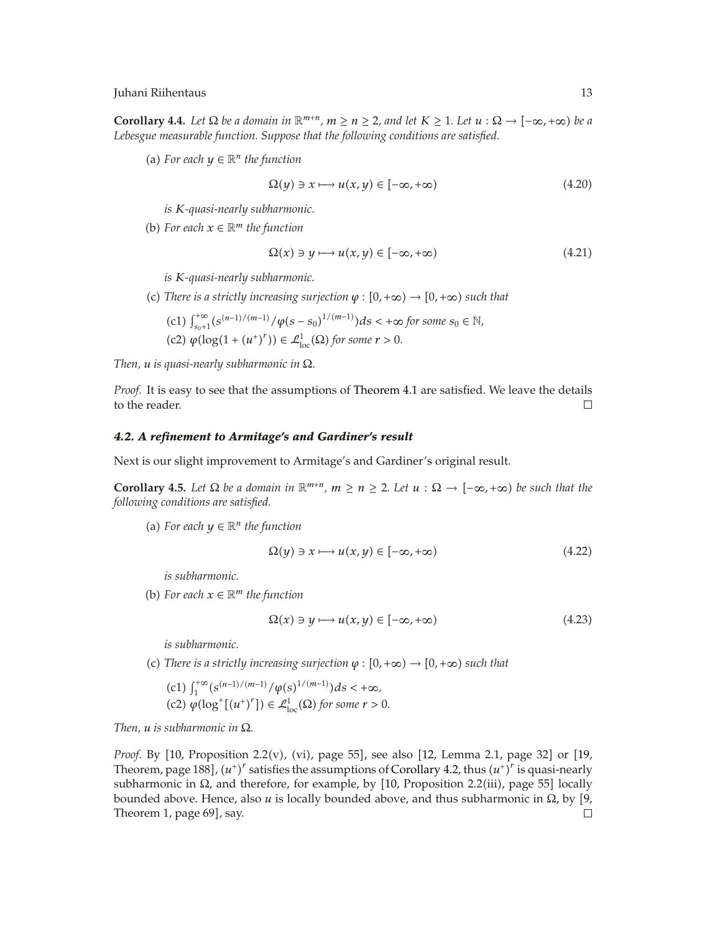**Corollary 4.4.** Let  $\Omega$  be a domain in  $\mathbb{R}^{m+n}$ ,  $m \ge n \ge 2$ , and let  $K \ge 1$ . Let  $u : \Omega \to [-\infty, +\infty)$  be a *Lebesgue measurable function. Suppose that the following conditions are satisfied.*

(a) For each  $y \in \mathbb{R}^n$  the function

$$
\Omega(y) \ni x \longmapsto u(x, y) \in [-\infty, +\infty)
$$
\n(4.20)

*is K-quasi-nearly subharmonic.*

(b) For each  $x \in \mathbb{R}^m$  the function

$$
\Omega(x) \ni y \longmapsto u(x, y) \in [-\infty, +\infty)
$$
\n(4.21)

*is K-quasi-nearly subharmonic.*

(c) There is a strictly increasing surjection  $\varphi : [0, +\infty) \to [0, +\infty)$  such that

\n- (c1) 
$$
\int_{s_0+1}^{+\infty} (s^{(n-1)/(m-1)}/\varphi(s-s_0)^{1/(m-1)}) ds < +\infty
$$
 for some  $s_0 \in \mathbb{N}$ ,
\n- (c2)  $\varphi(\log(1 + (u^+)^r)) \in \mathcal{L}^1_{\text{loc}}(\Omega)$  for some  $r > 0$ .
\n

*Then, u is quasi-nearly subharmonic in* Ω*.*

*Proof.* It is easy to see that the assumptions of Theorem 4.1 are satisfied. We leave the details to the reader.  $\Box$ 

# *4.2. A refinement to Armitage's and Gardiner's result*

Next is our slight improvement to Armitage's and Gardiner's original result.

**Corollary 4.5.** Let  $\Omega$  be a domain in  $\mathbb{R}^{m+n}$ ,  $m \ge n \ge 2$ . Let  $u : \Omega \to [-\infty, +\infty)$  be such that the *following conditions are satisfied.*

(a) For each  $y \in \mathbb{R}^n$  the function

$$
\Omega(y) \ni x \longmapsto u(x, y) \in [-\infty, +\infty)
$$
\n(4.22)

*is subharmonic.*

(b) For each  $x \in \mathbb{R}^m$  the function

$$
\Omega(x) \ni y \longmapsto u(x, y) \in [-\infty, +\infty)
$$
\n(4.23)

*is subharmonic.*

(c) There is a strictly increasing surjection  $\varphi : [0, +\infty) \to [0, +\infty)$  such that

(c1) 
$$
\int_1^{+\infty} (s^{(n-1)/(m-1)}/\varphi(s)^{1/(m-1)}) ds < +\infty
$$
,  
(c2)  $\varphi(\log^+[(u^+)^r]) \in \mathcal{L}^1_{loc}(\Omega)$  for some  $r > 0$ .

*Then, u is subharmonic in* Ω*.*

*Proof.* By [10, Proposition 2.2(v), (vi), page 55], see also [12, Lemma 2.1, page 32] or [19, Theorem, page 188],  $(u^+)^r$  satisfies the assumptions of Corollary 4.2, thus  $(u^+)^r$  is quasi-nearly subharmonic in Ω, and therefore, for example, by [10, Proposition 2.2(iii), page 55] locally bounded above. Hence, also  $u$  is locally bounded above, and thus subharmonic in  $\Omega$ , by  $[9]$ , Theorem 1, page 69], say.  $\Box$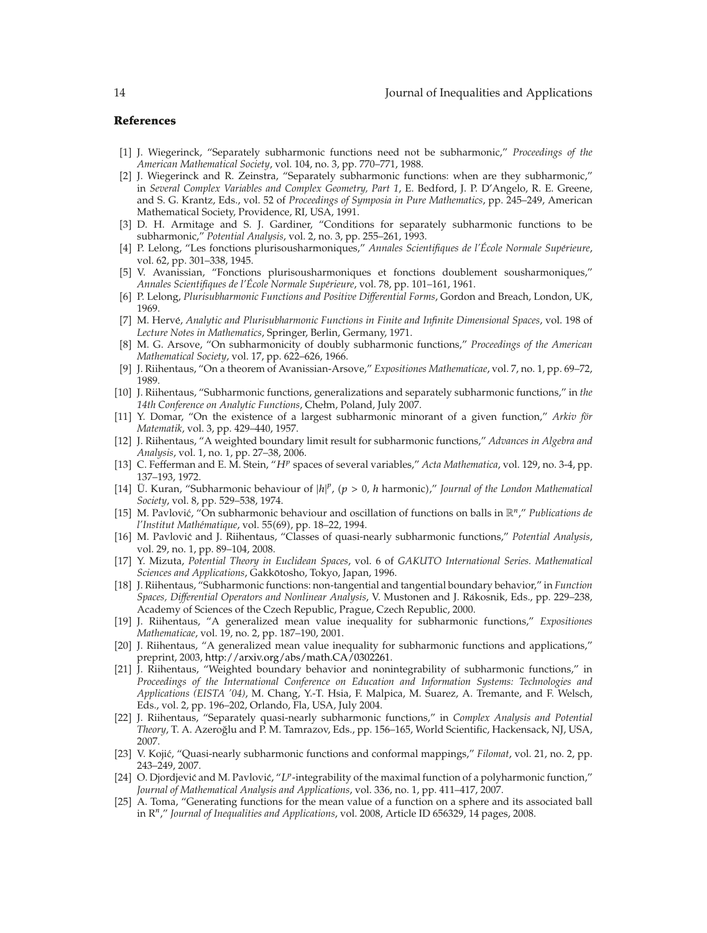# **References**

- -1 J. Wiegerinck, "Separately subharmonic functions need not be subharmonic," *Proceedings of the American Mathematical Society*, vol. 104, no. 3, pp. 770–771, 1988.
- -2 J. Wiegerinck and R. Zeinstra, "Separately subharmonic functions: when are they subharmonic," in *Several Complex Variables and Complex Geometry, Part 1*, E. Bedford, J. P. D'Angelo, R. E. Greene, and S. G. Krantz, Eds., vol. 52 of *Proceedings of Symposia in Pure Mathematics*, pp. 245–249, American Mathematical Society, Providence, RI, USA, 1991.
- [3] D. H. Armitage and S. J. Gardiner, "Conditions for separately subharmonic functions to be subharmonic," *Potential Analysis*, vol. 2, no. 3, pp. 255–261, 1993.
- [4] P. Lelong, "Les fonctions plurisousharmoniques," Annales Scientifiques de l'École Normale Supérieure, vol. 62, pp. 301–338, 1945.
- -5 V. Avanissian, "Fonctions plurisousharmoniques et fonctions doublement sousharmoniques," *Annales Scientifiques de l'École Normale Supérieure, vol. 78, pp. 101–161, 1961.*
- -6 P. Lelong, *Plurisubharmonic Functions and Positive Differential Forms*, Gordon and Breach, London, UK, 1969.
- -7 M. Herve,´ *Analytic and Plurisubharmonic Functions in Finite and Infinite Dimensional Spaces*, vol. 198 of *Lecture Notes in Mathematics*, Springer, Berlin, Germany, 1971.
- [8] M. G. Arsove, "On subharmonicity of doubly subharmonic functions," *Proceedings of the American Mathematical Society*, vol. 17, pp. 622–626, 1966.
- -9 J. Riihentaus, "On a theorem of Avanissian-Arsove," *Expositiones Mathematicae*, vol. 7, no. 1, pp. 69–72, 1989.
- [10] J. Riihentaus, "Subharmonic functions, generalizations and separately subharmonic functions," in *the 14th Conference on Analytic Functions*, Chełm, Poland, July 2007.
- [11] Y. Domar, "On the existence of a largest subharmonic minorant of a given function," *Arkiv for Matematik*, vol. 3, pp. 429–440, 1957.
- [12] J. Riihentaus, "A weighted boundary limit result for subharmonic functions," Advances in Algebra and *Analysis*, vol. 1, no. 1, pp. 27–38, 2006.
- [13] C. Fefferman and E. M. Stein, "*HP* spaces of several variables," *Acta Mathematica*, vol. 129, no. 3-4, pp. 137–193, 1972.
- [14] Ü. Kuran, "Subharmonic behaviour of  $|h|^p$ ,  $(p > 0, h$  harmonic)," *Journal of the London Mathematical Society*, vol. 8, pp. 529–538, 1974.
- [15] M. Pavlović, "On subharmonic behaviour and oscillation of functions on balls in  $\mathbb{R}^n$ ," *Publications de l'Institut Mathématique, vol.* 55(69), pp. 18-22, 1994.
- [16] M. Pavlović and J. Riihentaus, "Classes of quasi-nearly subharmonic functions," Potential Analysis, vol. 29, no. 1, pp. 89–104, 2008.
- -17 Y. Mizuta, *Potential Theory in Euclidean Spaces*, vol. 6 of *GAKUTO International Series. Mathematical Sciences and Applications*, Gakkotosho, Tokyo, Japan, 1996. ¯
- -18 J. Riihentaus, "Subharmonic functions: non-tangential and tangential boundary behavior," in *Function Spaces, Differential Operators and Nonlinear Analysis*, V. Mustonen and J. Rakosnik, Eds., pp. 229–238, ´ Academy of Sciences of the Czech Republic, Prague, Czech Republic, 2000.
- -19 J. Riihentaus, "A generalized mean value inequality for subharmonic functions," *Expositiones Mathematicae*, vol. 19, no. 2, pp. 187–190, 2001.
- [20] J. Riihentaus, "A generalized mean value inequality for subharmonic functions and applications," preprint, 2003, http://arxiv.org/abs/math.CA/0302261.
- [21] J. Riihentaus, "Weighted boundary behavior and nonintegrability of subharmonic functions," in *Proceedings of the International Conference on Education and Information Systems: Technologies and Applications (EISTA '04)*, M. Chang, Y.-T. Hsia, F. Malpica, M. Suarez, A. Tremante, and F. Welsch, Eds., vol. 2, pp. 196–202, Orlando, Fla, USA, July 2004.
- -22 J. Riihentaus, "Separately quasi-nearly subharmonic functions," in *Complex Analysis and Potential Theory*, T. A. Azeroglu and P. M. Tamrazov, Eds., pp. 156–165, World Scientific, Hackensack, NJ, USA, ˘ 2007.
- [23] V. Kojić, "Quasi-nearly subharmonic functions and conformal mappings," Filomat, vol. 21, no. 2, pp. 243–249, 2007.
- [24] O. Djordjević and M. Pavlović, "L<sup>p</sup>-integrability of the maximal function of a polyharmonic function," *Journal of Mathematical Analysis and Applications*, vol. 336, no. 1, pp. 411–417, 2007.
- [25] A. Toma, "Generating functions for the mean value of a function on a sphere and its associated ball in R*<sup>n</sup>*," *Journal of Inequalities and Applications*, vol. 2008, Article ID 656329, 14 pages, 2008.